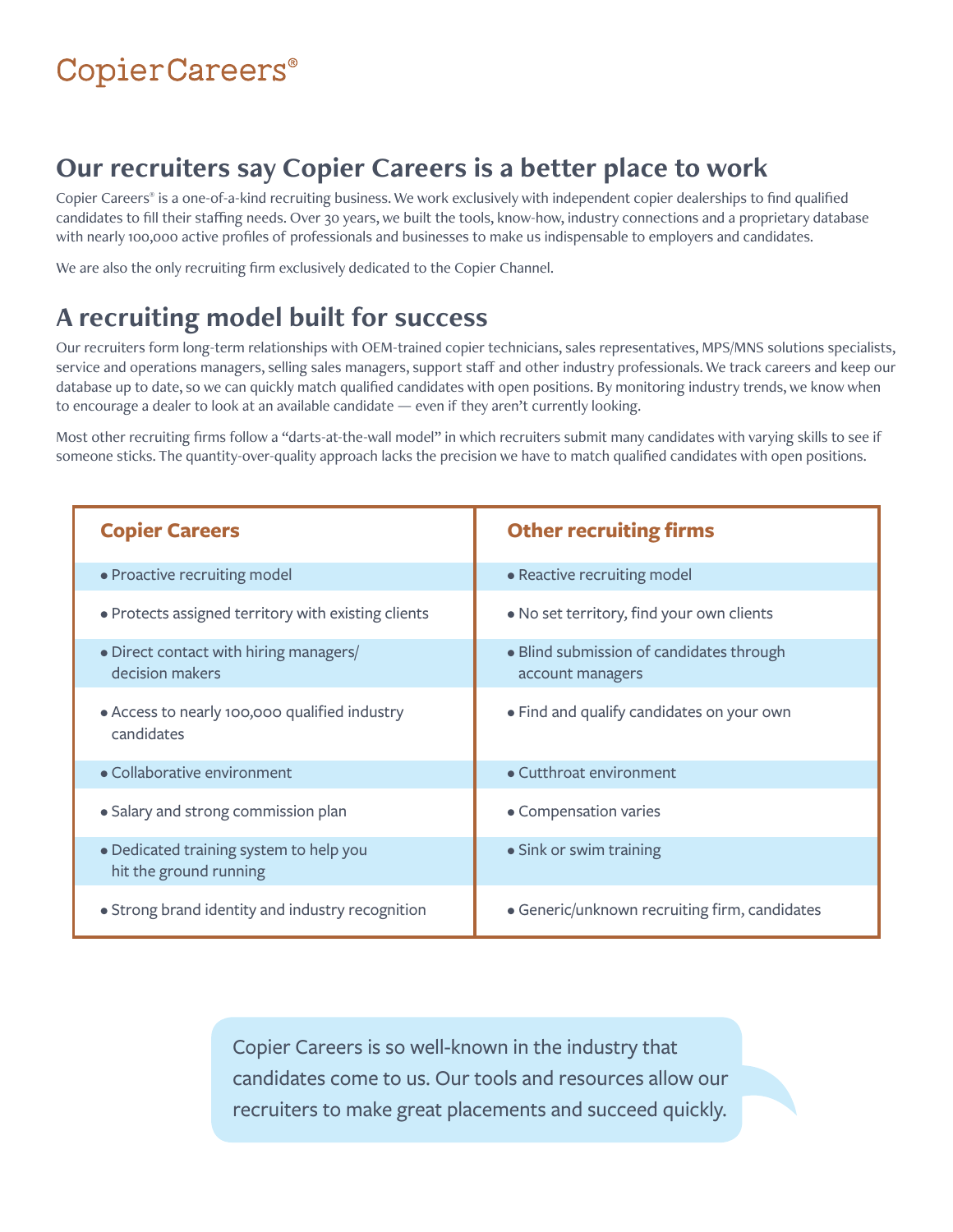# CopierCareers®

## **Our recruiters say Copier Careers is a better place to work**

Copier Careers® is a one-of-a-kind recruiting business. We work exclusively with independent copier dealerships to find qualified candidates to fill their staffing needs. Over 30 years, we built the tools, know-how, industry connections and a proprietary database with nearly 100,000 active profiles of professionals and businesses to make us indispensable to employers and candidates.

We are also the only recruiting firm exclusively dedicated to the Copier Channel.

# **A recruiting model built for success**

Our recruiters form long-term relationships with OEM-trained copier technicians, sales representatives, MPS/MNS solutions specialists, service and operations managers, selling sales managers, support staff and other industry professionals. We track careers and keep our database up to date, so we can quickly match qualified candidates with open positions. By monitoring industry trends, we know when to encourage a dealer to look at an available candidate — even if they aren't currently looking.

Most other recruiting firms follow a "darts-at-the-wall model" in which recruiters submit many candidates with varying skills to see if someone sticks. The quantity-over-quality approach lacks the precision we have to match qualified candidates with open positions.

| <b>Copier Careers</b>                                             | <b>Other recruiting firms</b>                                |
|-------------------------------------------------------------------|--------------------------------------------------------------|
| • Proactive recruiting model                                      | • Reactive recruiting model                                  |
| • Protects assigned territory with existing clients               | • No set territory, find your own clients                    |
| • Direct contact with hiring managers/<br>decision makers         | • Blind submission of candidates through<br>account managers |
| • Access to nearly 100,000 qualified industry<br>candidates       | • Find and qualify candidates on your own                    |
| • Collaborative environment                                       | • Cutthroat environment                                      |
| • Salary and strong commission plan                               | • Compensation varies                                        |
| • Dedicated training system to help you<br>hit the ground running | • Sink or swim training                                      |
| • Strong brand identity and industry recognition                  | • Generic/unknown recruiting firm, candidates                |

Copier Careers is so well-known in the industry that candidates come to us. Our tools and resources allow our recruiters to make great placements and succeed quickly.